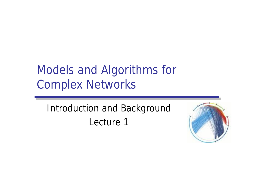# Models and Algorithms for Complex Networks

Introduction and Background Lecture 1

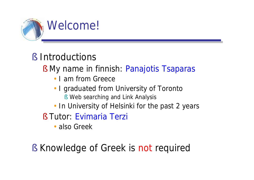

## § Introductions

- § My name in finnish: Panajotis Tsaparas
	- I am from Greece
	- I graduated from University of Toronto
		- § Web searching and Link Analysis
	- In University of Helsinki for the past 2 years
- § Tutor: Evimaria Terzi
	- also Greek
- § Knowledge of Greek is not required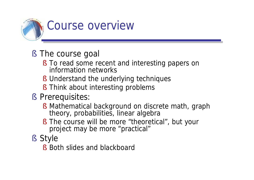

- § The course goal
	- § To read some recent and interesting papers on information networks
	- § Understand the underlying techniques
	- § Think about interesting problems
- § Prerequisites:
	- § Mathematical background on discrete math, graph theory, probabilities, linear algebra
	- § The course will be more "theoretical", but your project may be more "practical"
- § Style
	- § Both slides and blackboard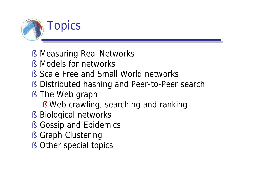

- § Measuring Real Networks
- § Models for networks
- § Scale Free and Small World networks
- § Distributed hashing and Peer-to-Peer search
- § The Web graph
	- § Web crawling, searching and ranking
- § Biological networks
- § Gossip and Epidemics
- § Graph Clustering
- § Other special topics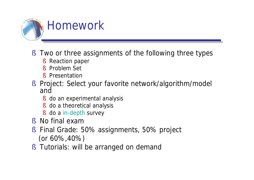

- § Two or three assignments of the following three types
	- § Reaction paper
	- § Problem Set
	- § Presentation
- § Project: Select your favorite network/algorithm/model and
	- § do an experimental analysis
	- § do a theoretical analysis
	- § do a in-depth survey
- § No final exam
- § Final Grade: 50% assignments, 50% project (or 60%,40%)
- § Tutorials: will be arranged on demand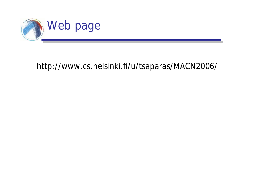

#### <http://www.cs.helsinki.fi/u/tsaparas/MACN2006/>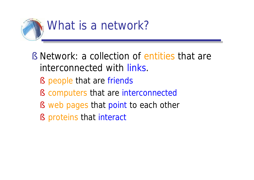

- § Network: a collection of entities that are interconnected with links.
	- § people that are friends
	- § computers that are interconnected
	- § web pages that point to each other
	- § proteins that interact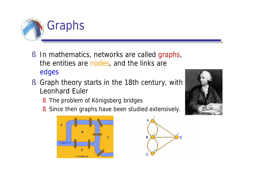

- § In mathematics, networks are called graphs, the entities are nodes, and the links are edges
- § Graph theory starts in the 18th century, with Leonhard Euler
	- § The problem of Königsberg bridges
	- § Since then graphs have been studied extensively.





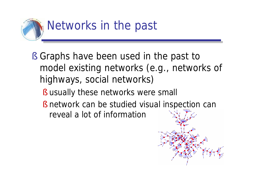

- § Graphs have been used in the past to model existing networks (e.g., networks of highways, social networks)
	- § usually these networks were small
	- § network can be studied visual inspection can reveal a lot of information

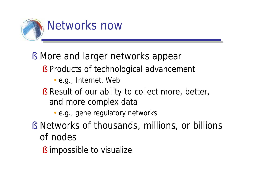

- § More and larger networks appear
	- § Products of technological advancement
		- e.g., Internet, Web
	- § Result of our ability to collect more, better, and more complex data
		- e.g., gene regulatory networks
- § Networks of thousands, millions, or billions of nodes
	- § impossible to visualize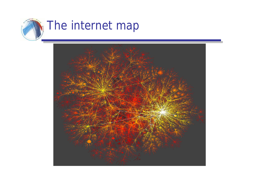

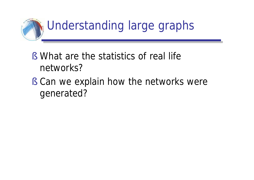

- § What are the statistics of real life networks?
- § Can we explain how the networks were generated?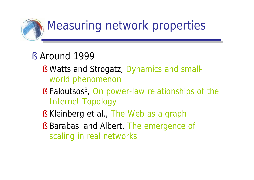

- § Around 1999
	- § Watts and Strogatz, Dynamics and smallworld phenomenon
	- § Faloutsos<sup>3</sup>, On power-law relationships of the Internet Topology
	- § Kleinberg et al., The Web as a graph
	- § Barabasi and Albert, The emergence of scaling in real networks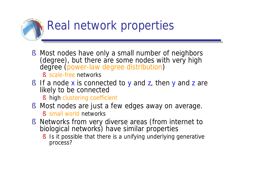

§ Most nodes have only a small number of neighbors (degree), but there are some nodes with very high degree (power-law degree distribution)

§ scale-free networks

§ If a node x is connected to y and z, then y and z are likely to be connected

§ high clustering coefficient

- § Most nodes are just a few edges away on average. § small world networks
- § Networks from very diverse areas (from internet to biological networks) have similar properties
	- § Is it possible that there is a unifying underlying generative process?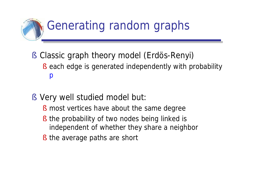

- § Classic graph theory model (Erdös-Renyi)
	- § each edge is generated independently with probability p
- § Very well studied model but:
	- § most vertices have about the same degree
	- § the probability of two nodes being linked is independent of whether they share a neighbor
	- § the average paths are short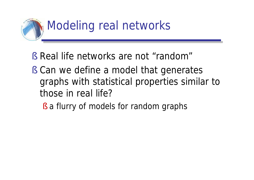

- § Real life networks are not "random"
- § Can we define a model that generates graphs with statistical properties similar to those in real life?

§ a flurry of models for random graphs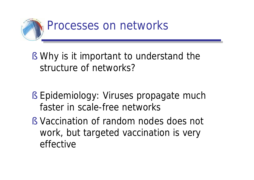

- § Why is it important to understand the structure of networks?
- § Epidemiology: Viruses propagate much faster in scale-free networks
- § Vaccination of random nodes does not work, but targeted vaccination is very effective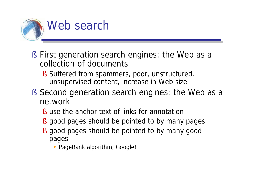

- § First generation search engines: the Web as a collection of documents
	- § Suffered from spammers, poor, unstructured, unsupervised content, increase in Web size
- § Second generation search engines: the Web as a network
	- § use the anchor text of links for annotation
	- § good pages should be pointed to by many pages
	- § good pages should be pointed to by many good pages
		- PageRank algorithm, Google!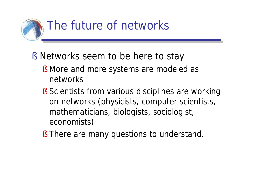

- § Networks seem to be here to stay
	- § More and more systems are modeled as networks
	- § Scientists from various disciplines are working on networks (physicists, computer scientists, mathematicians, biologists, sociologist, economists)
	- § There are many questions to understand.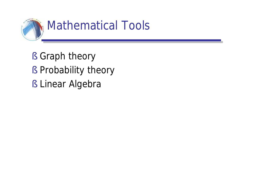

- § Graph theory
- § Probability theory
- § Linear Algebra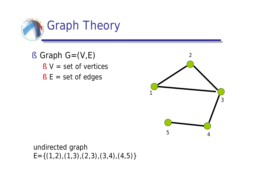

 $\S$  Graph G=(V,E)  $\S$  V = set of vertices  $\S$  E = set of edges



undirected graph  $E=\{(1,2),(1,3),(2,3),(3,4),(4,5)\}$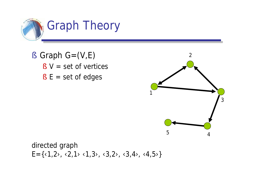

 $\S$  Graph G=(V,E)  $\S$  V = set of vertices  $§ E = set of edges$ 



directed graph  $E = \{ \langle 1, 2 \rangle, \langle 2, 1 \rangle, \langle 1, 3 \rangle, \langle 3, 2 \rangle, \langle 3, 4 \rangle, \langle 4, 5 \rangle \}$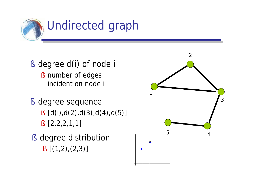

- § degree d(i) of node i § number of edges incident on node i
- § degree sequence
	- $\S [d(i),d(2),d(3),d(4),d(5)]$
	- § [2,2,2,1,1]
- § degree distribution  $\S$   $[(1,2),(2,3)]$

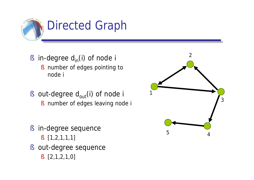

- § in-degree  $d_{in}(i)$  of node i
	- § number of edges pointing to node i
- § out-degree  $d_{out}(i)$  of node i
	- § number of edges leaving node i
- § in-degree sequence § [1,2,1,1,1]
- § out-degree sequence
	- § [2,1,2,1,0]

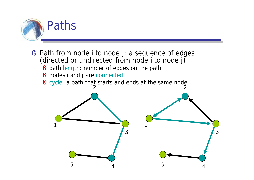

- § Path from node i to node j: a sequence of edges (directed or undirected from node i to node j)
	- § path length: number of edges on the path
	- § nodes i and j are connected
	- § cycle: a path that starts and ends at the same node

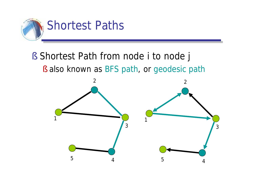

### § Shortest Path from node i to node j § also known as BFS path, or geodesic path

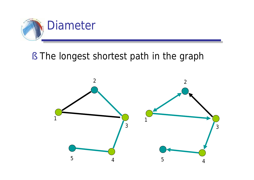

#### § The longest shortest path in the graph

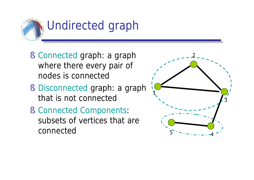

- § Connected graph: a graph where there every pair of nodes is connected
- § Disconnected graph: a graph that is not connected
- § Connected Components: subsets of vertices that are connected

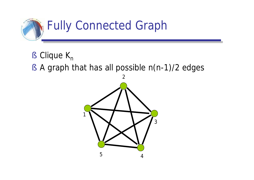

- § Clique  $K_n$
- § A graph that has all possible n(n-1)/2 edges

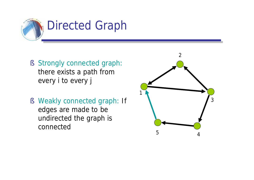

- § Strongly connected graph: there exists a path from every i to every j
- § Weakly connected graph: If edges are made to be undirected the graph is connected

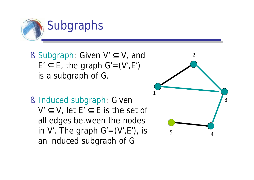

- § Subgraph: Given V' ⊆ V, and  $E' \subseteq E$ , the graph  $G' = (V', E')$ is a subgraph of G.
- § Induced subgraph: Given  $V' \subseteq V$ , let  $E' \subseteq E$  is the set of all edges between the nodes in V'. The graph  $G'=(V',E')$ , is an induced subgraph of G

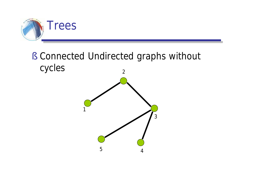

#### § Connected Undirected graphs without cycles

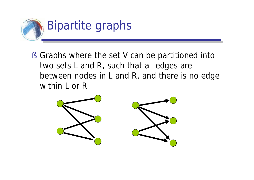

§ Graphs where the set V can be partitioned into two sets L and R, such that all edges are between nodes in L and R, and there is no edge within L or R

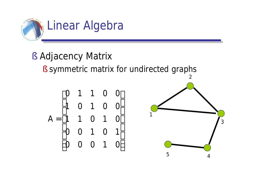

- § Adjacency Matrix
	- § symmetric matrix for undirected graphs

$$
A = \begin{bmatrix} 0 & 1 & 1 & 0 & 0 \\ 1 & 0 & 1 & 0 & 0 \\ 1 & 1 & 0 & 1 & 0 \\ 0 & 0 & 1 & 0 & 1 \\ 0 & 0 & 0 & 1 & 0 \end{bmatrix}
$$

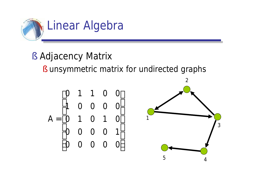

§ Adjacency Matrix

§ unsymmetric matrix for undirected graphs

$$
A = \begin{bmatrix} 0 & 1 & 1 & 0 & 0 \\ 1 & 0 & 0 & 0 & 0 \\ 0 & 1 & 0 & 1 & 0 \\ 0 & 0 & 0 & 0 & 1 \\ 0 & 0 & 0 & 0 & 0 \end{bmatrix}
$$

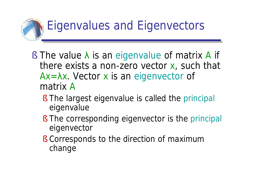

- $\S$  The value  $\lambda$  is an eigenvalue of matrix A if there exists a non-zero vector x, such that  $Ax = \lambda x$ . Vector x is an eigenvector of matrix A
	- § The largest eigenvalue is called the principal eigenvalue
	- § The corresponding eigenvector is the principal eigenvector
	- § Corresponds to the direction of maximum change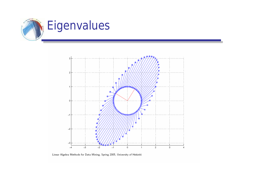



Linear Algebra Methods for Data Mining, Spring 2005, University of Helsinki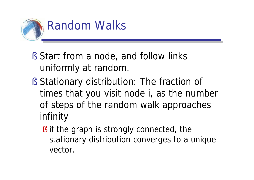

- § Start from a node, and follow links uniformly at random.
- § Stationary distribution: The fraction of times that you visit node i, as the number of steps of the random walk approaches infinity
	- § if the graph is strongly connected, the stationary distribution converges to a unique vector.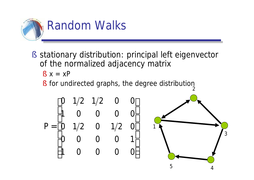

§ stationary distribution: principal left eigenvector of the normalized adjacency matrix

$$
\S \; x = xP
$$

§ for undirected graphs, the degree distribution

$$
P = \begin{bmatrix} 0 & 1/2 & 1/2 & 0 & 0 \\ 1 & 0 & 0 & 0 & 0 \\ 0 & 1/2 & 0 & 1/2 & 0 \\ 0 & 0 & 0 & 0 & 1 \\ 1 & 0 & 0 & 0 & 0 \end{bmatrix}
$$

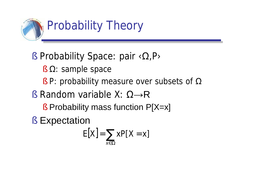

- $\S$  Probability Space: pair  $\langle \Omega, P \rangle$ 
	- $\S$   $\Omega$ : sample space
	- § P: probability measure over subsets of  $\Omega$
- § Random variable  $X: \Omega \rightarrow \mathbb{R}$ 
	- § Probability mass function P[X=x]
- § Expectation

$$
E[X] = \sum_{x \in \Omega} xP[X = x]
$$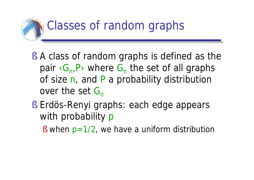

- § A class of random graphs is defined as the pair <G<sub>n</sub>,P> where G<sub>n</sub> the set of all graphs of size n, and P a probability distribution over the set  $G_n$
- § Erdös-Renyi graphs: each edge appears with probability p
	- § when  $p=1/2$ , we have a uniform distribution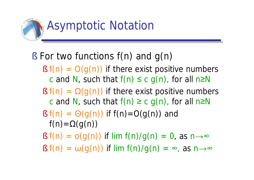

### § For two functions f(n) and g(n)

- $\S f(n) = O(g(n))$  if there exist positive numbers c and N, such that  $f(n) \leq c q(n)$ , for all n $\geq N$
- $\S f(n) = \Omega(q(n))$  if there exist positive numbers c and N, such that  $f(n) \ge c q(n)$ , for all n $\ge N$
- §  $f(n) = \Theta(g(n))$  if  $f(n)=O(g(n))$  and  $f(n) = \Omega(q(n))$
- $\S f(n) = o(g(n))$  if lim  $f(n)/g(n) = 0$ , as  $n \rightarrow \infty$
- $\S f(n) = \omega(g(n))$  if lim  $f(n)/g(n) = \infty$ , as  $n \rightarrow \infty$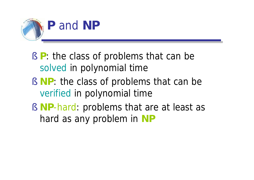

- § **P**: the class of problems that can be solved in polynomial time
- § **NP**: the class of problems that can be verified in polynomial time
- § **NP**-hard: problems that are at least as hard as any problem in **NP**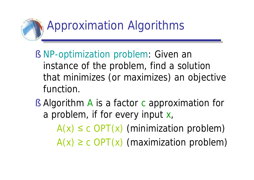

- § NP-optimization problem: Given an instance of the problem, find a solution that minimizes (or maximizes) an objective function.
- § Algorithm A is a factor c approximation for a problem, if for every input x,  $A(x) \leq c$  OPT(x) (minimization problem)
	- $A(x) \geq c$  OPT(x) (maximization problem)